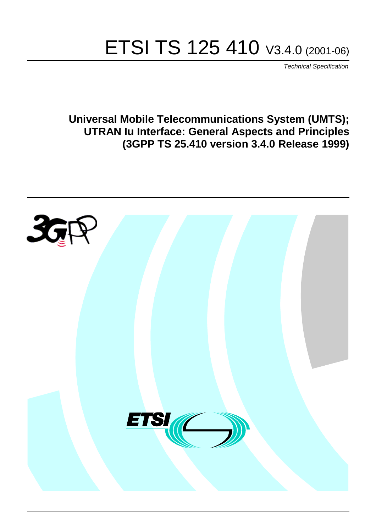# ETSI TS 125 410 V3.4.0 (2001-06)

Technical Specification

**Universal Mobile Telecommunications System (UMTS); UTRAN Iu Interface: General Aspects and Principles (3GPP TS 25.410 version 3.4.0 Release 1999)**

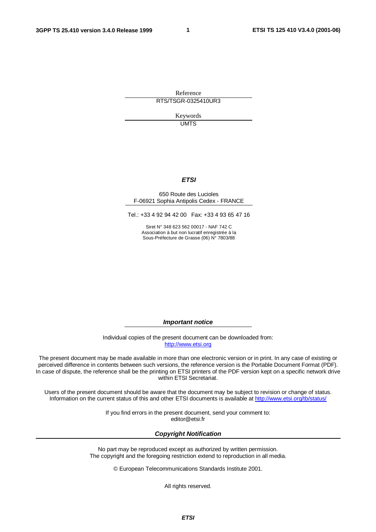**1**

Reference RTS/TSGR-0325410UR3

> Keywords **UMTS**

#### **ETSI**

#### 650 Route des Lucioles F-06921 Sophia Antipolis Cedex - FRANCE

Tel.: +33 4 92 94 42 00 Fax: +33 4 93 65 47 16

Siret N° 348 623 562 00017 - NAF 742 C Association à but non lucratif enregistrée à la Sous-Préfecture de Grasse (06) N° 7803/88

**Important notice**

Individual copies of the present document can be downloaded from: [http://www.etsi.org](http://www.etsi.org/)

The present document may be made available in more than one electronic version or in print. In any case of existing or perceived difference in contents between such versions, the reference version is the Portable Document Format (PDF). In case of dispute, the reference shall be the printing on ETSI printers of the PDF version kept on a specific network drive within ETSI Secretariat.

Users of the present document should be aware that the document may be subject to revision or change of status. Information on the current status of this and other ETSI documents is available at <http://www.etsi.org/tb/status>/

> If you find errors in the present document, send your comment to: <editor@etsi.fr>

#### **Copyright Notification**

No part may be reproduced except as authorized by written permission. The copyright and the foregoing restriction extend to reproduction in all media.

© European Telecommunications Standards Institute 2001.

All rights reserved.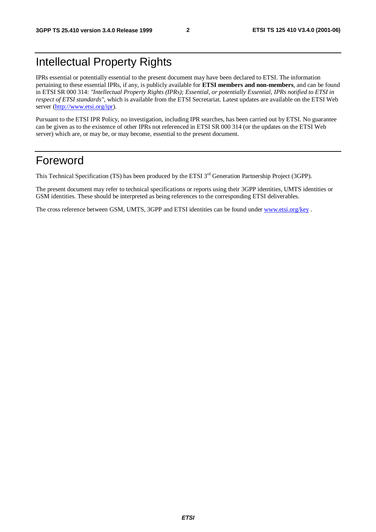# Intellectual Property Rights

IPRs essential or potentially essential to the present document may have been declared to ETSI. The information pertaining to these essential IPRs, if any, is publicly available for **ETSI members and non-members**, and can be found in ETSI SR 000 314: *"Intellectual Property Rights (IPRs); Essential, or potentially Essential, IPRs notified to ETSI in respect of ETSI standards"*, which is available from the ETSI Secretariat. Latest updates are available on the ETSI Web server [\(http://www.etsi.org/ipr\)](http://www.etsi.org/ipr).

Pursuant to the ETSI IPR Policy, no investigation, including IPR searches, has been carried out by ETSI. No guarantee can be given as to the existence of other IPRs not referenced in ETSI SR 000 314 (or the updates on the ETSI Web server) which are, or may be, or may become, essential to the present document.

# Foreword

This Technical Specification (TS) has been produced by the ETSI 3<sup>rd</sup> Generation Partnership Project (3GPP).

The present document may refer to technical specifications or reports using their 3GPP identities, UMTS identities or GSM identities. These should be interpreted as being references to the corresponding ETSI deliverables.

The cross reference between GSM, UMTS, 3GPP and ETSI identities can be found under [www.etsi.org/key](http://www.etsi.org/key) .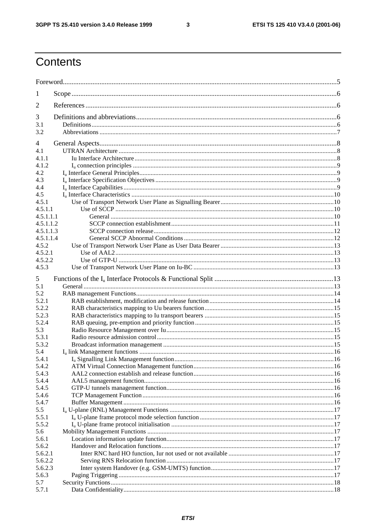$\overline{\mathbf{3}}$ 

# Contents

| 1              |  |  |  |
|----------------|--|--|--|
| $\overline{2}$ |  |  |  |
| 3              |  |  |  |
| 3.1            |  |  |  |
| 3.2            |  |  |  |
| 4              |  |  |  |
| 4.1            |  |  |  |
| 4.1.1          |  |  |  |
| 4.1.2          |  |  |  |
| 4.2            |  |  |  |
| 4.3            |  |  |  |
| 4.4            |  |  |  |
| 4.5            |  |  |  |
| 4.5.1          |  |  |  |
| 4.5.1.1        |  |  |  |
| 4.5.1.1.1      |  |  |  |
| 4.5.1.1.2      |  |  |  |
| 4.5.1.1.3      |  |  |  |
| 4.5.1.1.4      |  |  |  |
| 4.5.2          |  |  |  |
| 4.5.2.1        |  |  |  |
| 4.5.2.2        |  |  |  |
| 4.5.3          |  |  |  |
| 5              |  |  |  |
| 5.1            |  |  |  |
| 5.2            |  |  |  |
| 5.2.1          |  |  |  |
| 5.2.2          |  |  |  |
| 5.2.3          |  |  |  |
| 5.2.4          |  |  |  |
| 5.3            |  |  |  |
| 5.3.1          |  |  |  |
| 5.3.2          |  |  |  |
| 5.4            |  |  |  |
| 5.4.1          |  |  |  |
| 5.4.2          |  |  |  |
| 5.4.3          |  |  |  |
| 5.4.4          |  |  |  |
| 5.4.5          |  |  |  |
| 5.4.6<br>5.4.7 |  |  |  |
| 5.5            |  |  |  |
| 5.5.1          |  |  |  |
| 5.5.2          |  |  |  |
| 5.6            |  |  |  |
| 5.6.1          |  |  |  |
| 5.6.2          |  |  |  |
| 5.6.2.1        |  |  |  |
| 5.6.2.2        |  |  |  |
| 5.6.2.3        |  |  |  |
| 5.6.3          |  |  |  |
| 5.7            |  |  |  |
| 5.7.1          |  |  |  |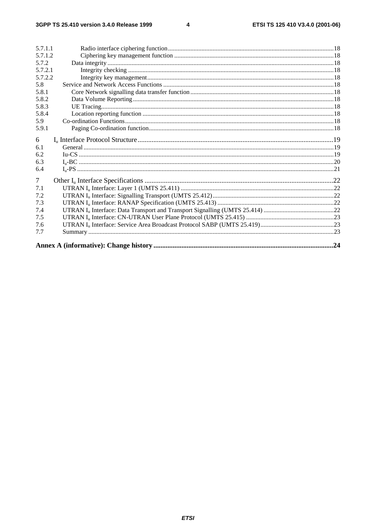$\overline{\mathbf{4}}$ 

| 5.7.1.1        |  |
|----------------|--|
| 5.7.1.2        |  |
| 5.7.2          |  |
| 5.7.2.1        |  |
| 5.7.2.2        |  |
| 5.8            |  |
| 5.8.1          |  |
| 5.8.2          |  |
| 5.8.3          |  |
| 5.8.4          |  |
| 5.9            |  |
| 5.9.1          |  |
| 6              |  |
| 6.1            |  |
| 6.2            |  |
| 6.3            |  |
| 6.4            |  |
| $\overline{7}$ |  |
| 7.1            |  |
| 7.2            |  |
| 7.3            |  |
| 7.4            |  |
| 7.5            |  |
| 7.6            |  |
| 7.7            |  |
|                |  |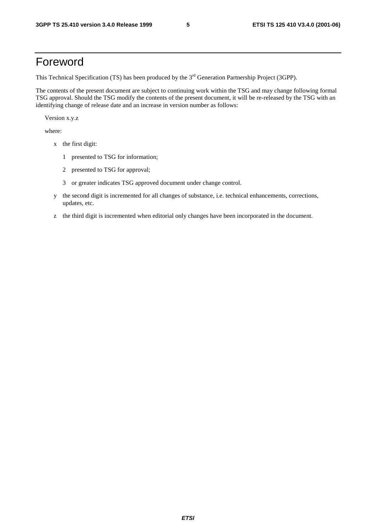# Foreword

This Technical Specification (TS) has been produced by the 3<sup>rd</sup> Generation Partnership Project (3GPP).

The contents of the present document are subject to continuing work within the TSG and may change following formal TSG approval. Should the TSG modify the contents of the present document, it will be re-released by the TSG with an identifying change of release date and an increase in version number as follows:

Version x.y.z

where:

- x the first digit:
	- 1 presented to TSG for information;
	- 2 presented to TSG for approval;
	- 3 or greater indicates TSG approved document under change control.
- y the second digit is incremented for all changes of substance, i.e. technical enhancements, corrections, updates, etc.
- z the third digit is incremented when editorial only changes have been incorporated in the document.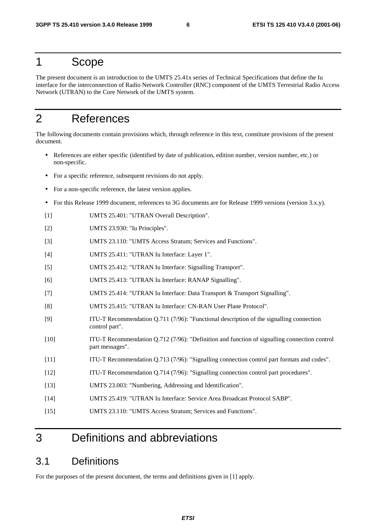### 1 Scope

The present document is an introduction to the UMTS 25.41x series of Technical Specifications that define the Iu interface for the interconnection of Radio Network Controller (RNC) component of the UMTS Terrestrial Radio Access Network (UTRAN) to the Core Network of the UMTS system.

# 2 References

The following documents contain provisions which, through reference in this text, constitute provisions of the present document.

- References are either specific (identified by date of publication, edition number, version number, etc.) or non-specific.
- For a specific reference, subsequent revisions do not apply.
- For a non-specific reference, the latest version applies.
- For this Release 1999 document, references to 3G documents are for Release 1999 versions (version 3.x.y).
- [1] UMTS 25.401: "UTRAN Overall Description".
- [2] UMTS 23.930: "Iu Principles".
- [3] UMTS 23.110: "UMTS Access Stratum; Services and Functions".
- [4] UMTS 25.411: "UTRAN Iu Interface: Layer 1".
- [5] UMTS 25.412: "UTRAN Iu Interface: Signalling Transport".
- [6] UMTS 25.413: "UTRAN Iu Interface: RANAP Signalling".
- [7] UMTS 25.414: "UTRAN Iu Interface: Data Transport & Transport Signalling".
- [8] UMTS 25.415: "UTRAN Iu Interface: CN-RAN User Plane Protocol".
- [9] ITU-T Recommendation Q.711 (7/96): "Functional description of the signalling connection control part".
- [10] ITU-T Recommendation Q.712 (7/96): "Definition and function of signalling connection control part messages".
- [11] ITU-T Recommendation Q.713 (7/96): "Signalling connection control part formats and codes".
- [12] ITU-T Recommendation Q.714 (7/96): "Signalling connection control part procedures".
- [13] UMTS 23.003: "Numbering, Addressing and Identification".
- [14] UMTS 25.419: "UTRAN Iu Interface: Service Area Broadcast Protocol SABP".
- [15] UMTS 23.110: "UMTS Access Stratum; Services and Functions".

# 3 Definitions and abbreviations

### 3.1 Definitions

For the purposes of the present document, the terms and definitions given in [1] apply.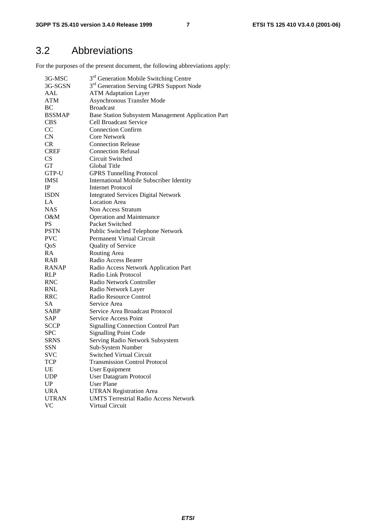# 3.2 Abbreviations

For the purposes of the present document, the following abbreviations apply:

| 3G-MSC        | 3 <sup>rd</sup> Generation Mobile Switching Centre   |
|---------------|------------------------------------------------------|
| 3G-SGSN       | 3 <sup>rd</sup> Generation Serving GPRS Support Node |
| AAL           | <b>ATM Adaptation Layer</b>                          |
| <b>ATM</b>    | <b>Asynchronous Transfer Mode</b>                    |
| BC            | <b>Broadcast</b>                                     |
| <b>BSSMAP</b> | Base Station Subsystem Management Application Part   |
| <b>CBS</b>    | <b>Cell Broadcast Service</b>                        |
| CC            | <b>Connection Confirm</b>                            |
| <b>CN</b>     | <b>Core Network</b>                                  |
| CR            | <b>Connection Release</b>                            |
| <b>CREF</b>   | <b>Connection Refusal</b>                            |
| <b>CS</b>     | Circuit Switched                                     |
| GT            | Global Title                                         |
| GTP-U         | <b>GPRS Tunnelling Protocol</b>                      |
| <b>IMSI</b>   | <b>International Mobile Subscriber Identity</b>      |
| $_{\rm IP}$   | Internet Protocol                                    |
| <b>ISDN</b>   | <b>Integrated Services Digital Network</b>           |
| LA            | <b>Location Area</b>                                 |
| <b>NAS</b>    | Non Access Stratum                                   |
| 0&M           | <b>Operation and Maintenance</b>                     |
| <b>PS</b>     | Packet Switched                                      |
| <b>PSTN</b>   | Public Switched Telephone Network                    |
| <b>PVC</b>    | Permanent Virtual Circuit                            |
| QoS           | Quality of Service                                   |
| RA            | Routing Area                                         |
| RAB           | Radio Access Bearer                                  |
| <b>RANAP</b>  | Radio Access Network Application Part                |
| <b>RLP</b>    | Radio Link Protocol                                  |
| <b>RNC</b>    | Radio Network Controller                             |
| <b>RNL</b>    | Radio Network Layer                                  |
| <b>RRC</b>    | Radio Resource Control                               |
| <b>SA</b>     | Service Area                                         |
| SABP          | Service Area Broadcast Protocol                      |
| SAP           | Service Access Point                                 |
| <b>SCCP</b>   | <b>Signalling Connection Control Part</b>            |
| <b>SPC</b>    | <b>Signalling Point Code</b>                         |
| <b>SRNS</b>   | Serving Radio Network Subsystem                      |
| SSN           | Sub-System Number                                    |
| <b>SVC</b>    | Switched Virtual Circuit                             |
| TCP           | <b>Transmission Control Protocol</b>                 |
| UE            | User Equipment                                       |
| <b>UDP</b>    | <b>User Datagram Protocol</b>                        |
| UP            | <b>User Plane</b>                                    |
| <b>URA</b>    | <b>UTRAN Registration Area</b>                       |
| <b>UTRAN</b>  | <b>UMTS Terrestrial Radio Access Network</b>         |
| <b>VC</b>     | Virtual Circuit                                      |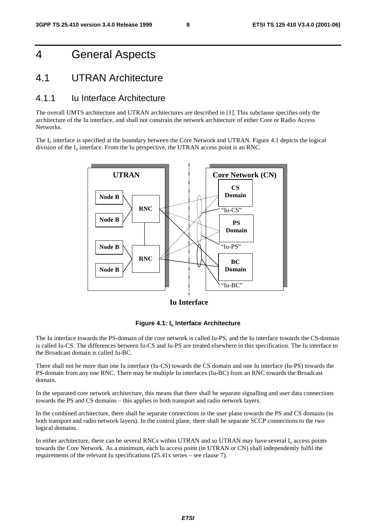# 4 General Aspects

### 4.1 UTRAN Architecture

#### 4.1.1 Iu Interface Architecture

The overall UMTS architecture and UTRAN architectures are described in [1]. This subclause specifies only the architecture of the Iu interface, and shall not constrain the network architecture of either Core or Radio Access Networks.

The I<sub>u</sub> interface is specified at the boundary between the Core Network and UTRAN. Figure 4.1 depicts the logical division of the  $I_u$  interface. From the Iu perspective, the UTRAN access point is an RNC.



**Iu Interface**

#### **Figure 4.1: Iu Interface Architecture**

The Iu interface towards the PS-domain of the core network is called Iu-PS, and the Iu interface towards the CS-domain is called Iu-CS. The differences between Iu-CS and Iu-PS are treated elsewhere in this specification. The Iu interface to the Broadcast domain is called Iu-BC.

There shall not be more than one Iu interface (Iu-CS) towards the CS domain and one Iu interface (Iu-PS) towards the PS-domain from any one RNC. There may be multiple Iu interfaces (Iu-BC) from an RNC towards the Broadcast domain.

In the separated core network architecture, this means that there shall be separate signalling and user data connections towards the PS and CS domains – this applies in both transport and radio network layers.

In the combined architecture, there shall be separate connections in the user plane towards the PS and CS domains (in both transport and radio network layers). In the control plane, there shall be separate SCCP connections to the two logical domains.

In either architecture, there can be several RNCs within UTRAN and so UTRAN may have several  $I<sub>u</sub>$  access points towards the Core Network. As a minimum, each Iu access point (in UTRAN or CN) shall independently fulfil the requirements of the relevant Iu specifications (25.41x series – see clause 7).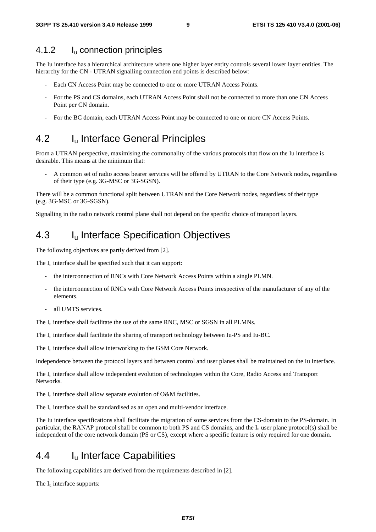#### 4.1.2 I<sub>u</sub> connection principles

The Iu interface has a hierarchical architecture where one higher layer entity controls several lower layer entities. The hierarchy for the CN - UTRAN signalling connection end points is described below:

- Each CN Access Point may be connected to one or more UTRAN Access Points.
- For the PS and CS domains, each UTRAN Access Point shall not be connected to more than one CN Access Point per CN domain.
- For the BC domain, each UTRAN Access Point may be connected to one or more CN Access Points.

### 4.2 I<sub>u</sub> Interface General Principles

From a UTRAN perspective, maximising the commonality of the various protocols that flow on the Iu interface is desirable. This means at the minimum that:

- A common set of radio access bearer services will be offered by UTRAN to the Core Network nodes, regardless of their type (e.g. 3G-MSC or 3G-SGSN).

There will be a common functional split between UTRAN and the Core Network nodes, regardless of their type (e.g. 3G-MSC or 3G-SGSN).

Signalling in the radio network control plane shall not depend on the specific choice of transport layers.

### 4.3 I<sub>u</sub> Interface Specification Objectives

The following objectives are partly derived from [2].

The  $I_{\text{u}}$  interface shall be specified such that it can support:

- the interconnection of RNCs with Core Network Access Points within a single PLMN.
- the interconnection of RNCs with Core Network Access Points irrespective of the manufacturer of any of the elements.
- all UMTS services.

The  $I_{\rm u}$  interface shall facilitate the use of the same RNC, MSC or SGSN in all PLMNs.

The Iu interface shall facilitate the sharing of transport technology between Iu-PS and Iu-BC.

The  $I_{\text{u}}$  interface shall allow interworking to the GSM Core Network.

Independence between the protocol layers and between control and user planes shall be maintained on the Iu interface.

The I<sub>u</sub> interface shall allow independent evolution of technologies within the Core, Radio Access and Transport Networks.

The  $I_u$  interface shall allow separate evolution of O&M facilities.

The  $I_{\rm u}$  interface shall be standardised as an open and multi-vendor interface.

The Iu interface specifications shall facilitate the migration of some services from the CS-domain to the PS-domain. In particular, the RANAP protocol shall be common to both PS and CS domains, and the I<sub>u</sub> user plane protocol(s) shall be independent of the core network domain (PS or CS), except where a specific feature is only required for one domain.

### 4.4 Iu Interface Capabilities

The following capabilities are derived from the requirements described in [2].

The  $I_u$  interface supports: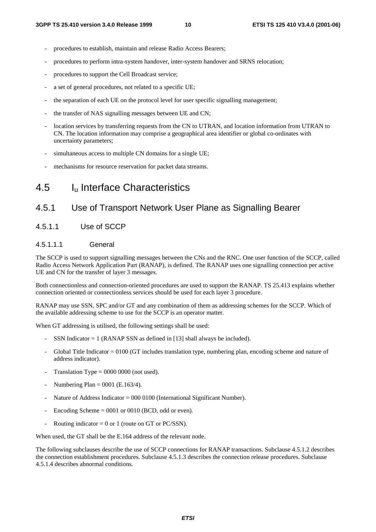- procedures to establish, maintain and release Radio Access Bearers;
- procedures to perform intra-system handover, inter-system handover and SRNS relocation;
- procedures to support the Cell Broadcast service;
- a set of general procedures, not related to a specific UE;
- the separation of each UE on the protocol level for user specific signalling management;
- the transfer of NAS signalling messages between UE and CN;
- location services by transferring requests from the CN to UTRAN, and location information from UTRAN to CN. The location information may comprise a geographical area identifier or global co-ordinates with uncertainty parameters;
- simultaneous access to multiple CN domains for a single UE;
- mechanisms for resource reservation for packet data streams.

### 4.5 Iu Interface Characteristics

#### 4.5.1 Use of Transport Network User Plane as Signalling Bearer

#### 4.5.1.1 Use of SCCP

#### 4.5.1.1.1 General

The SCCP is used to support signalling messages between the CNs and the RNC. One user function of the SCCP, called Radio Access Network Application Part (RANAP), is defined. The RANAP uses one signalling connection per active UE and CN for the transfer of layer 3 messages.

Both connectionless and connection-oriented procedures are used to support the RANAP. TS 25.413 explains whether connection oriented or connectionless services should be used for each layer 3 procedure.

RANAP may use SSN, SPC and/or GT and any combination of them as addressing schemes for the SCCP. Which of the available addressing scheme to use for the SCCP is an operator matter.

When GT addressing is utilised, the following settings shall be used:

- SSN Indicator  $= 1$  (RANAP SSN as defined in [13] shall always be included).
- Global Title Indicator = 0100 (GT includes translation type, numbering plan, encoding scheme and nature of address indicator).
- Translation Type  $= 0000 0000$  (not used).
- Numbering Plan =  $0001$  (E.163/4).
- Nature of Address Indicator =  $000\,0100$  (International Significant Number).
- Encoding Scheme  $= 0001$  or 0010 (BCD, odd or even).
- Routing indicator = 0 or 1 (route on GT or PC/SSN).

When used, the GT shall be the E.164 address of the relevant node.

The following subclauses describe the use of SCCP connections for RANAP transactions. Subclause 4.5.1.2 describes the connection establishment procedures. Subclause 4.5.1.3 describes the connection release procedures. Subclause 4.5.1.4 describes abnormal conditions.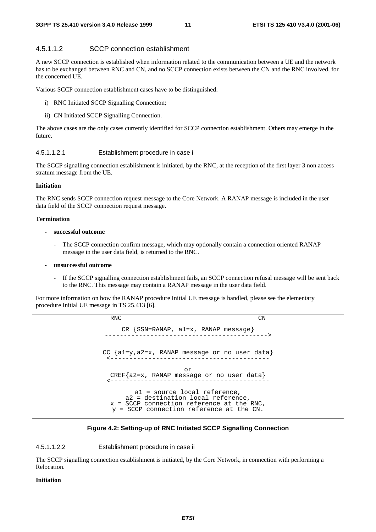#### 4.5.1.1.2 SCCP connection establishment

A new SCCP connection is established when information related to the communication between a UE and the network has to be exchanged between RNC and CN, and no SCCP connection exists between the CN and the RNC involved, for the concerned UE.

Various SCCP connection establishment cases have to be distinguished:

- i) RNC Initiated SCCP Signalling Connection;
- ii) CN Initiated SCCP Signalling Connection.

The above cases are the only cases currently identified for SCCP connection establishment. Others may emerge in the future.

#### 4.5.1.1.2.1 Establishment procedure in case i

The SCCP signalling connection establishment is initiated, by the RNC, at the reception of the first layer 3 non access stratum message from the UE.

#### **Initiation**

The RNC sends SCCP connection request message to the Core Network. A RANAP message is included in the user data field of the SCCP connection request message.

#### **Termination**

#### **- successful outcome**

The SCCP connection confirm message, which may optionally contain a connection oriented RANAP message in the user data field, is returned to the RNC.

#### **- unsuccessful outcome**

If the SCCP signalling connection establishment fails, an SCCP connection refusal message will be sent back to the RNC. This message may contain a RANAP message in the user data field.

For more information on how the RANAP procedure Initial UE message is handled, please see the elementary procedure Initial UE message in TS 25.413 [6].

> RNC CN CR {SSN=RANAP, a1=x, RANAP message} -------------------------------------------> CC {a1=y,a2=x, RANAP message or no user data} <----------------------------------------- or CREF{a2=x, RANAP message or no user data} <----------------------------------------- a1 = source local reference, a2 = destination local reference, x = SCCP connection reference at the RNC, y = SCCP connection reference at the CN.

#### **Figure 4.2: Setting-up of RNC Initiated SCCP Signalling Connection**

4.5.1.1.2.2 Establishment procedure in case ii

The SCCP signalling connection establishment is initiated, by the Core Network, in connection with performing a Relocation.

#### **Initiation**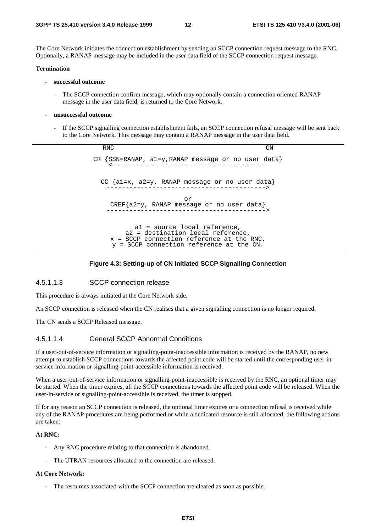The Core Network initiates the connection establishment by sending an SCCP connection request message to the RNC. Optionally, a RANAP message may be included in the user data field of the SCCP connection request message.

#### **Termination**

- **successful outcome** 
	- The SCCP connection confirm message, which may optionally contain a connection oriented RANAP message in the user data field, is returned to the Core Network.
- **unsuccessful outcome** 
	- If the SCCP signalling connection establishment fails, an SCCP connection refusal message will be sent back to the Core Network. This message may contain a RANAP message in the user data field.

RNC CN CR {SSN=RANAP, a1=y,RANAP message or no user data} <----------------------------------------- CC {a1=x, a2=y, RANAP message or no user data} ------------------------------------------> or CREF{a2=y, RANAP message or no user data} ------------------------------------------> a1 = source local reference, a2 = destination local reference, x = SCCP connection reference at the RNC, y = SCCP connection reference at the CN.

#### **Figure 4.3: Setting-up of CN Initiated SCCP Signalling Connection**

#### 4.5.1.1.3 SCCP connection release

This procedure is always initiated at the Core Network side.

An SCCP connection is released when the CN realises that a given signalling connection is no longer required.

The CN sends a SCCP Released message.

#### 4.5.1.1.4 General SCCP Abnormal Conditions

If a user-out-of-service information or signalling-point-inaccessible information is received by the RANAP, no new attempt to establish SCCP connections towards the affected point code will be started until the corresponding user-inservice information or signalling-point-accessible information is received.

When a user-out-of-service information or signalling-point-inaccessible is received by the RNC, an optional timer may be started. When the timer expires, all the SCCP connections towards the affected point code will be released. When the user-in-service or signalling-point-accessible is received, the timer is stopped.

If for any reason an SCCP connection is released, the optional timer expires or a connection refusal is received while any of the RANAP procedures are being performed or while a dedicated resource is still allocated, the following actions are taken:

#### **At RNC:**

- Any RNC procedure relating to that connection is abandoned.
- The UTRAN resources allocated to the connection are released.

#### **At Core Network:**

The resources associated with the SCCP connection are cleared as soon as possible.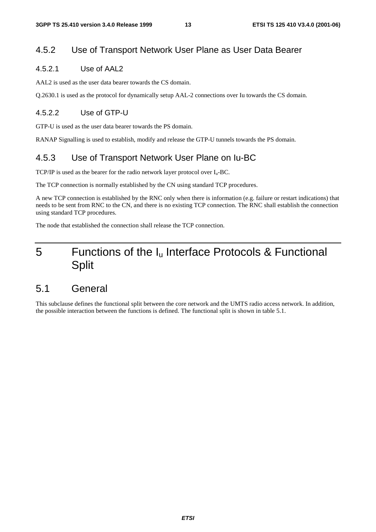### 4.5.2 Use of Transport Network User Plane as User Data Bearer

#### 4.5.2.1 Use of AAL2

AAL2 is used as the user data bearer towards the CS domain.

Q.2630.1 is used as the protocol for dynamically setup AAL-2 connections over Iu towards the CS domain.

#### 4.5.2.2 Use of GTP-U

GTP-U is used as the user data bearer towards the PS domain.

RANAP Signalling is used to establish, modify and release the GTP-U tunnels towards the PS domain.

### 4.5.3 Use of Transport Network User Plane on Iu-BC

TCP/IP is used as the bearer for the radio network layer protocol over  $I_u$ -BC.

The TCP connection is normally established by the CN using standard TCP procedures.

A new TCP connection is established by the RNC only when there is information (e.g. failure or restart indications) that needs to be sent from RNC to the CN, and there is no existing TCP connection. The RNC shall establish the connection using standard TCP procedures.

The node that established the connection shall release the TCP connection.

# 5 Functions of the I<sub>u</sub> Interface Protocols & Functional Split

### 5.1 General

This subclause defines the functional split between the core network and the UMTS radio access network. In addition, the possible interaction between the functions is defined. The functional split is shown in table 5.1.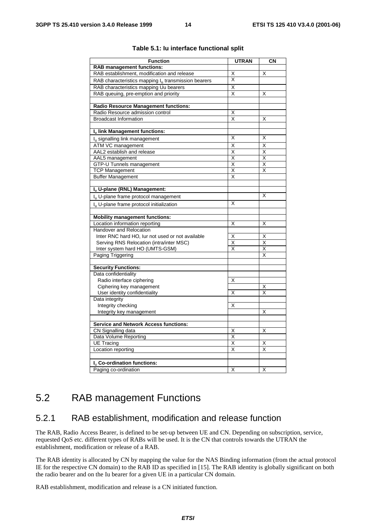| <b>Function</b>                                       | <b>UTRAN</b>            | CN |
|-------------------------------------------------------|-------------------------|----|
| <b>RAB management functions:</b>                      |                         |    |
| RAB establishment, modification and release           | Χ                       | X  |
|                                                       | Χ                       |    |
| RAB characteristics mapping $Iu$ transmission bearers |                         |    |
| RAB characteristics mapping Uu bearers                | Χ                       |    |
| RAB queuing, pre-emption and priority                 | X                       | X  |
|                                                       |                         |    |
| <b>Radio Resource Management functions:</b>           |                         |    |
| Radio Resource admission control                      | Χ                       |    |
| <b>Broadcast Information</b>                          | X                       | X  |
|                                                       |                         |    |
| Iu link Management functions:                         | Χ                       | X  |
| $Iu$ signalling link management                       |                         |    |
| ATM VC management                                     | Χ                       | X  |
| AAL2 establish and release                            | Χ                       | X  |
| AAL5 management                                       | Χ                       | Χ  |
| <b>GTP-U Tunnels management</b>                       | Χ                       | X  |
| <b>TCP Management</b>                                 | Χ                       | X  |
| <b>Buffer Management</b>                              | Χ                       |    |
|                                                       |                         |    |
| I <sub>u</sub> U-plane (RNL) Management:              |                         |    |
| I <sub>u</sub> U-plane frame protocol management      |                         | X  |
| I <sub>n</sub> U-plane frame protocol initialization  | Χ                       |    |
|                                                       |                         |    |
| <b>Mobility management functions:</b>                 |                         |    |
| Location information reporting                        | X                       | X  |
| Handover and Relocation                               |                         |    |
| Inter RNC hard HO, lur not used or not available      | Χ                       | X  |
| Serving RNS Relocation (intra/inter MSC)              | $\overline{\mathsf{x}}$ | X  |
| Inter system hard HO (UMTS-GSM)                       | X                       | X  |
| Paging Triggering                                     |                         | X  |
|                                                       |                         |    |
| <b>Security Functions:</b>                            |                         |    |
| Data confidentiality                                  |                         |    |
| Radio interface ciphering                             | Χ                       |    |
| Ciphering key management                              |                         | X  |
| User identity confidentiality                         | Χ                       | X  |
| Data integrity                                        |                         |    |
| Integrity checking                                    | Χ                       |    |
| Integrity key management                              |                         | X  |
|                                                       |                         |    |
| <b>Service and Network Access functions:</b>          |                         |    |
| CN Signalling data                                    | X                       | X  |
| Data Volume Reporting                                 | Χ                       |    |
| <b>UE Tracing</b>                                     | Χ                       | х  |
| Location reporting                                    | X                       | X  |
|                                                       |                         |    |
| I <sub>u</sub> Co-ordination functions:               |                         |    |
| Paging co-ordination                                  | Χ                       | X  |

#### **Table 5.1: Iu interface functional split**

### 5.2 RAB management Functions

#### 5.2.1 RAB establishment, modification and release function

The RAB, Radio Access Bearer, is defined to be set-up between UE and CN. Depending on subscription, service, requested QoS etc. different types of RABs will be used. It is the CN that controls towards the UTRAN the establishment, modification or release of a RAB.

The RAB identity is allocated by CN by mapping the value for the NAS Binding information (from the actual protocol IE for the respective CN domain) to the RAB ID as specified in [15]. The RAB identity is globally significant on both the radio bearer and on the Iu bearer for a given UE in a particular CN domain.

RAB establishment, modification and release is a CN initiated function.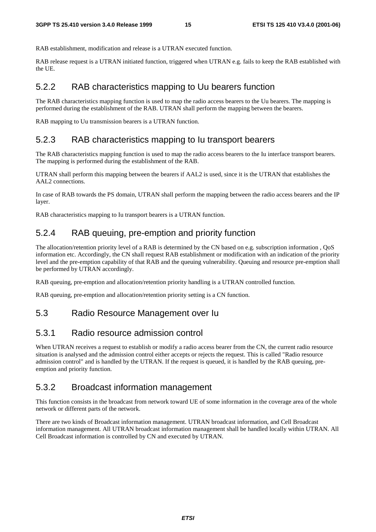RAB establishment, modification and release is a UTRAN executed function.

RAB release request is a UTRAN initiated function, triggered when UTRAN e.g. fails to keep the RAB established with the UE.

#### 5.2.2 RAB characteristics mapping to Uu bearers function

The RAB characteristics mapping function is used to map the radio access bearers to the Uu bearers. The mapping is performed during the establishment of the RAB. UTRAN shall perform the mapping between the bearers.

RAB mapping to Uu transmission bearers is a UTRAN function.

### 5.2.3 RAB characteristics mapping to Iu transport bearers

The RAB characteristics mapping function is used to map the radio access bearers to the Iu interface transport bearers. The mapping is performed during the establishment of the RAB.

UTRAN shall perform this mapping between the bearers if AAL2 is used, since it is the UTRAN that establishes the AAL2 connections.

In case of RAB towards the PS domain, UTRAN shall perform the mapping between the radio access bearers and the IP layer.

RAB characteristics mapping to Iu transport bearers is a UTRAN function.

#### 5.2.4 RAB queuing, pre-emption and priority function

The allocation/retention priority level of a RAB is determined by the CN based on e.g. subscription information , QoS information etc. Accordingly, the CN shall request RAB establishment or modification with an indication of the priority level and the pre-emption capability of that RAB and the queuing vulnerability. Queuing and resource pre-emption shall be performed by UTRAN accordingly.

RAB queuing, pre-emption and allocation/retention priority handling is a UTRAN controlled function.

RAB queuing, pre-emption and allocation/retention priority setting is a CN function.

#### 5.3 Radio Resource Management over Iu

#### 5.3.1 Radio resource admission control

When UTRAN receives a request to establish or modify a radio access bearer from the CN, the current radio resource situation is analysed and the admission control either accepts or rejects the request. This is called "Radio resource admission control" and is handled by the UTRAN. If the request is queued, it is handled by the RAB queuing, preemption and priority function.

#### 5.3.2 Broadcast information management

This function consists in the broadcast from network toward UE of some information in the coverage area of the whole network or different parts of the network.

There are two kinds of Broadcast information management. UTRAN broadcast information, and Cell Broadcast information management. All UTRAN broadcast information management shall be handled locally within UTRAN. All Cell Broadcast information is controlled by CN and executed by UTRAN.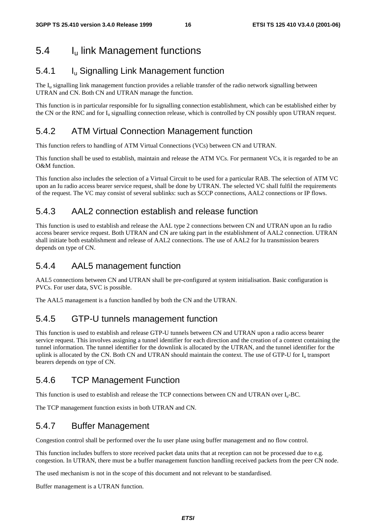# 5.4 Iu link Management functions

### 5.4.1 Iu Signalling Link Management function

The  $I<sub>u</sub>$  signalling link management function provides a reliable transfer of the radio network signalling between UTRAN and CN. Both CN and UTRAN manage the function.

This function is in particular responsible for Iu signalling connection establishment, which can be established either by the CN or the RNC and for  $I_u$  signalling connection release, which is controlled by CN possibly upon UTRAN request.

### 5.4.2 ATM Virtual Connection Management function

This function refers to handling of ATM Virtual Connections (VCs) between CN and UTRAN.

This function shall be used to establish, maintain and release the ATM VCs. For permanent VCs, it is regarded to be an O&M function.

This function also includes the selection of a Virtual Circuit to be used for a particular RAB. The selection of ATM VC upon an Iu radio access bearer service request, shall be done by UTRAN. The selected VC shall fulfil the requirements of the request. The VC may consist of several sublinks: such as SCCP connections, AAL2 connections or IP flows.

### 5.4.3 AAL2 connection establish and release function

This function is used to establish and release the AAL type 2 connections between CN and UTRAN upon an Iu radio access bearer service request. Both UTRAN and CN are taking part in the establishment of AAL2 connection. UTRAN shall initiate both establishment and release of AAL2 connections. The use of AAL2 for Iu transmission bearers depends on type of CN.

### 5.4.4 AAL5 management function

AAL5 connections between CN and UTRAN shall be pre-configured at system initialisation. Basic configuration is PVCs. For user data, SVC is possible.

The AAL5 management is a function handled by both the CN and the UTRAN.

### 5.4.5 GTP-U tunnels management function

This function is used to establish and release GTP-U tunnels between CN and UTRAN upon a radio access bearer service request. This involves assigning a tunnel identifier for each direction and the creation of a context containing the tunnel information. The tunnel identifier for the downlink is allocated by the UTRAN, and the tunnel identifier for the uplink is allocated by the CN. Both CN and UTRAN should maintain the context. The use of GTP-U for  $I<sub>u</sub>$  transport bearers depends on type of CN.

### 5.4.6 TCP Management Function

This function is used to establish and release the TCP connections between CN and UTRAN over  $I_u$ -BC.

The TCP management function exists in both UTRAN and CN.

### 5.4.7 Buffer Management

Congestion control shall be performed over the Iu user plane using buffer management and no flow control.

This function includes buffers to store received packet data units that at reception can not be processed due to e.g. congestion. In UTRAN, there must be a buffer management function handling received packets from the peer CN node.

The used mechanism is not in the scope of this document and not relevant to be standardised.

Buffer management is a UTRAN function.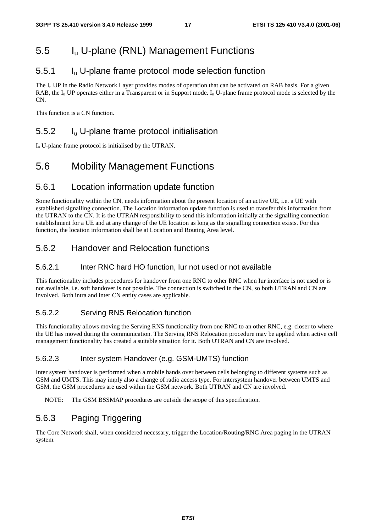# 5.5 Iu U-plane (RNL) Management Functions

### 5.5.1 Iu U-plane frame protocol mode selection function

The  $I_u$  UP in the Radio Network Layer provides modes of operation that can be activated on RAB basis. For a given RAB, the  $I_{\rm u}$  UP operates either in a Transparent or in Support mode.  $I_{\rm u}$  U-plane frame protocol mode is selected by the  $\overline{CN}$ 

This function is a CN function.

### 5.5.2 Iu U-plane frame protocol initialisation

 $I_u$  U-plane frame protocol is initialised by the UTRAN.

# 5.6 Mobility Management Functions

#### 5.6.1 Location information update function

Some functionality within the CN, needs information about the present location of an active UE, i.e. a UE with established signalling connection. The Location information update function is used to transfer this information from the UTRAN to the CN. It is the UTRAN responsibility to send this information initially at the signalling connection establishment for a UE and at any change of the UE location as long as the signalling connection exists. For this function, the location information shall be at Location and Routing Area level.

### 5.6.2 Handover and Relocation functions

#### 5.6.2.1 Inter RNC hard HO function, Iur not used or not available

This functionality includes procedures for handover from one RNC to other RNC when Iur interface is not used or is not available, i.e. soft handover is not possible. The connection is switched in the CN, so both UTRAN and CN are involved. Both intra and inter CN entity cases are applicable.

#### 5.6.2.2 Serving RNS Relocation function

This functionality allows moving the Serving RNS functionality from one RNC to an other RNC, e.g. closer to where the UE has moved during the communication. The Serving RNS Relocation procedure may be applied when active cell management functionality has created a suitable situation for it. Both UTRAN and CN are involved.

#### 5.6.2.3 Inter system Handover (e.g. GSM-UMTS) function

Inter system handover is performed when a mobile hands over between cells belonging to different systems such as GSM and UMTS. This may imply also a change of radio access type. For intersystem handover between UMTS and GSM, the GSM procedures are used within the GSM network. Both UTRAN and CN are involved.

NOTE: The GSM BSSMAP procedures are outside the scope of this specification.

### 5.6.3 Paging Triggering

The Core Network shall, when considered necessary, trigger the Location/Routing/RNC Area paging in the UTRAN system.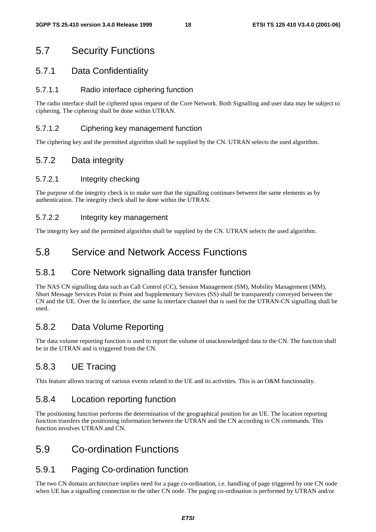# 5.7 Security Functions

#### 5.7.1 Data Confidentiality

#### 5.7.1.1 Radio interface ciphering function

The radio interface shall be ciphered upon request of the Core Network. Both Signalling and user data may be subject to ciphering. The ciphering shall be done within UTRAN.

#### 5.7.1.2 Ciphering key management function

The ciphering key and the permitted algorithm shall be supplied by the CN. UTRAN selects the used algorithm.

### 5.7.2 Data integrity

#### 5.7.2.1 Integrity checking

The purpose of the integrity check is to make sure that the signalling continues between the same elements as by authentication. The integrity check shall be done within the UTRAN.

#### 5.7.2.2 Integrity key management

The integrity key and the permitted algorithm shall be supplied by the CN. UTRAN selects the used algorithm.

# 5.8 Service and Network Access Functions

#### 5.8.1 Core Network signalling data transfer function

The NAS CN signalling data such as Call Control (CC), Session Management (SM), Mobility Management (MM), Short Message Services Point to Point and Supplementary Services (SS) shall be transparently conveyed between the CN and the UE. Over the Iu interface, the same Iu interface channel that is used for the UTRAN-CN signalling shall be used.

### 5.8.2 Data Volume Reporting

The data volume reporting function is used to report the volume of unacknowledged data to the CN. The function shall be in the UTRAN and is triggered from the CN.

### 5.8.3 UE Tracing

This feature allows tracing of various events related to the UE and its activities. This is an O&M functionality.

### 5.8.4 Location reporting function

The positioning function performs the determination of the geographical position for an UE. The location reporting function transfers the positioning information between the UTRAN and the CN according to CN commands. This function involves UTRAN and CN.

### 5.9 Co-ordination Functions

### 5.9.1 Paging Co-ordination function

The two CN domain architecture implies need for a page co-ordination, i.e. handling of page triggered by one CN node when UE has a signalling connection to the other CN node. The paging co-ordination is performed by UTRAN and/or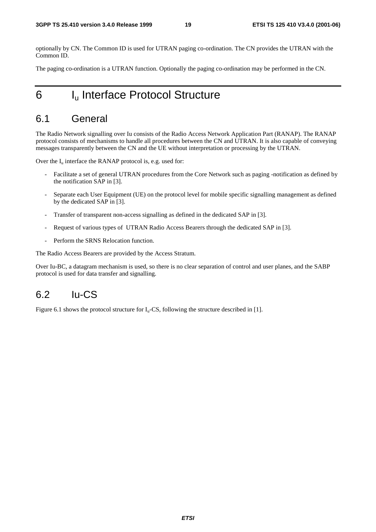optionally by CN. The Common ID is used for UTRAN paging co-ordination. The CN provides the UTRAN with the Common ID.

The paging co-ordination is a UTRAN function. Optionally the paging co-ordination may be performed in the CN.

# 6 I<sub>u</sub> Interface Protocol Structure

### 6.1 General

The Radio Network signalling over Iu consists of the Radio Access Network Application Part (RANAP). The RANAP protocol consists of mechanisms to handle all procedures between the CN and UTRAN. It is also capable of conveying messages transparently between the CN and the UE without interpretation or processing by the UTRAN.

Over the  $I_u$  interface the RANAP protocol is, e.g. used for:

- Facilitate a set of general UTRAN procedures from the Core Network such as paging -notification as defined by the notification SAP in [3].
- Separate each User Equipment (UE) on the protocol level for mobile specific signalling management as defined by the dedicated SAP in [3].
- Transfer of transparent non-access signalling as defined in the dedicated SAP in [3].
- Request of various types of UTRAN Radio Access Bearers through the dedicated SAP in [3].
- Perform the SRNS Relocation function.

The Radio Access Bearers are provided by the Access Stratum.

Over Iu-BC, a datagram mechanism is used, so there is no clear separation of control and user planes, and the SABP protocol is used for data transfer and signalling.

### $6.2$  Iu-CS

Figure 6.1 shows the protocol structure for  $I_u$ -CS, following the structure described in [1].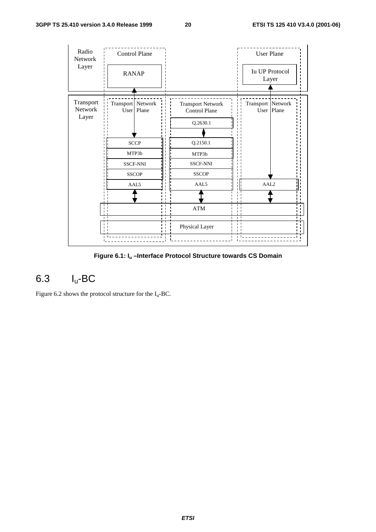

**Figure 6.1: Iu –Interface Protocol Structure towards CS Domain** 

# 6.3 Iu-BC

Figure 6.2 shows the protocol structure for the  $I_u$ -BC.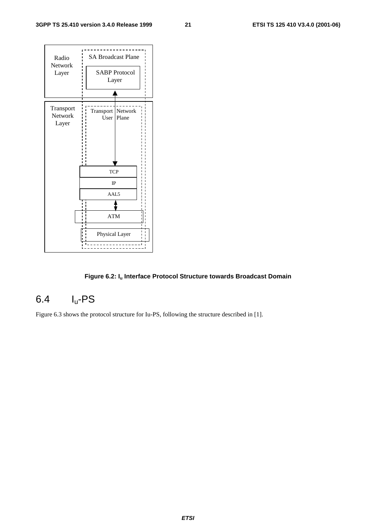

#### Figure 6.2: I<sub>u</sub> Interface Protocol Structure towards Broadcast Domain

# 6.4 Iu-PS

Figure 6.3 shows the protocol structure for Iu-PS, following the structure described in [1].

**ETSI**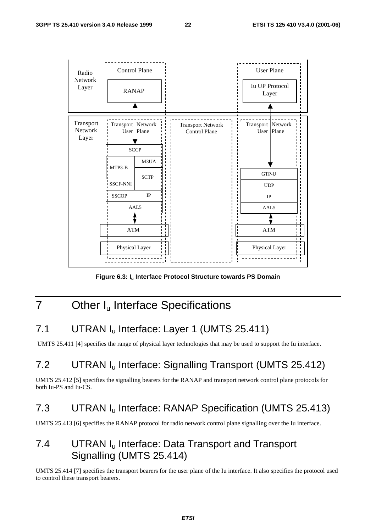

Figure 6.3: I<sub>u</sub> Interface Protocol Structure towards PS Domain

# 7 Other I<sub>u</sub> Interface Specifications

# 7.1 UTRAN I<sub>u</sub> Interface: Layer 1 (UMTS 25.411)

UMTS 25.411 [4] specifies the range of physical layer technologies that may be used to support the Iu interface.

# 7.2 UTRAN Iu Interface: Signalling Transport (UMTS 25.412)

UMTS 25.412 [5] specifies the signalling bearers for the RANAP and transport network control plane protocols for both Iu-PS and Iu-CS.

### 7.3 UTRAN Iu Interface: RANAP Specification (UMTS 25.413)

UMTS 25.413 [6] specifies the RANAP protocol for radio network control plane signalling over the Iu interface.

# 7.4 UTRAN I<sub>u</sub> Interface: Data Transport and Transport Signalling (UMTS 25.414)

UMTS 25.414 [7] specifies the transport bearers for the user plane of the Iu interface. It also specifies the protocol used to control these transport bearers.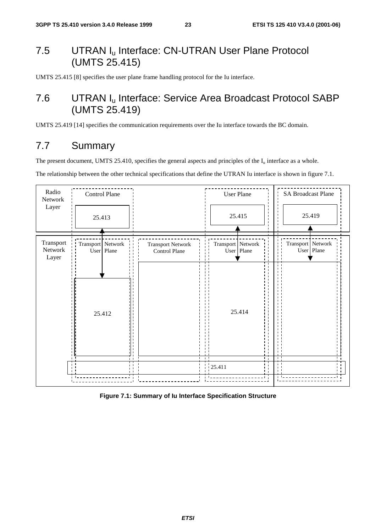# 7.5 UTRAN I<sub>u</sub> Interface: CN-UTRAN User Plane Protocol (UMTS 25.415)

UMTS 25.415 [8] specifies the user plane frame handling protocol for the Iu interface.

# 7.6 UTRAN Iu Interface: Service Area Broadcast Protocol SABP (UMTS 25.419)

UMTS 25.419 [14] specifies the communication requirements over the Iu interface towards the BC domain.

### 7.7 Summary

The present document, UMTS 25.410, specifies the general aspects and principles of the  $I_u$  interface as a whole.

The relationship between the other technical specifications that define the UTRAN Iu interface is shown in figure 7.1.



**Figure 7.1: Summary of Iu Interface Specification Structure**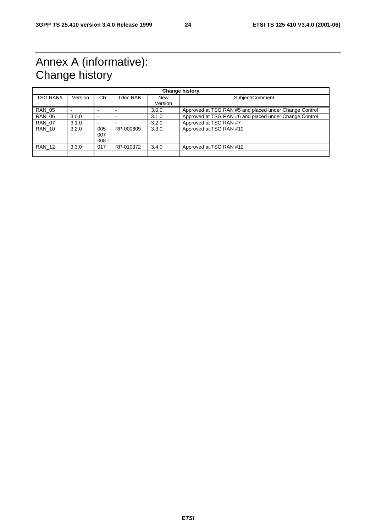# Annex A (informative): Change history

| <b>Change history</b> |         |                          |           |                       |                                                        |
|-----------------------|---------|--------------------------|-----------|-----------------------|--------------------------------------------------------|
| TSG RAN#              | Version | <b>CR</b>                | Tdoc RAN  | <b>New</b><br>Version | Subject/Comment                                        |
| <b>RAN 05</b>         |         |                          |           | 3.0.0                 | Approved at TSG RAN #5 and placed under Change Control |
| <b>RAN 06</b>         | 3.0.0   | $\overline{\phantom{0}}$ |           | 3.1.0                 | Approved at TSG RAN #6 and placed under Change Control |
| <b>RAN 07</b>         | 3.1.0   |                          |           | 3.2.0                 | Approved at TSG RAN #7                                 |
| <b>RAN 10</b>         | 3.2.0   | 005<br>007<br>008        | RP-000609 | 3.3.0                 | Approved at TSG RAN #10                                |
| <b>RAN 12</b>         | 3.3.0   | 017                      | RP-010372 | 3.4.0                 | Approved at TSG RAN #12                                |
|                       |         |                          |           |                       |                                                        |